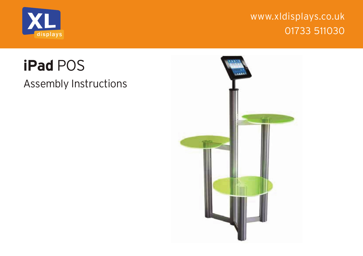



## **iPad** POS

Assembly Instructions

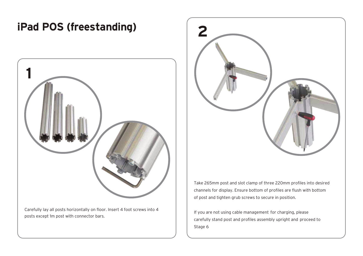## **iPad POS (freestanding) 2**



Carefully lay all posts horizontally on floor. Insert 4 foot screws into 4 posts except 1m post with connector bars.



Take 265mm post and slot clamp of three 220mm profiles into desired channels for display. Ensure bottom of profiles are flush with bottom of post and tighten grub screws to secure in position.

If you are not using cable management for charging, please carefully stand post and profiles assembly upright and proceed to Stage 6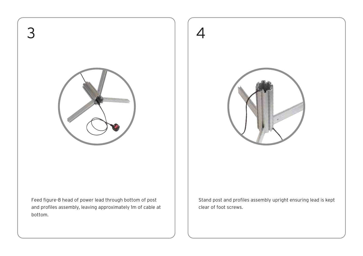



Feed figure-8 head of power lead through bottom of post and profiles assembly, leaving approximately 1m of cable at bottom.

Stand post and profiles assembly upright ensuring lead is kept clear of foot screws.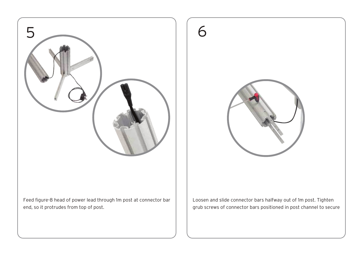



Feed figure-8 head of power lead through 1m post at connector bar end, so it protrudes from top of post.

Loosen and slide connector bars halfway out of 1m post. Tighten grub screws of connector bars positioned in post channel to secure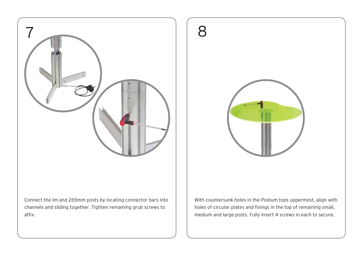

 $\mathsf R$ 

Connect the 1m and 265mm posts by locating connector bars into channels and sliding together. Tighten remaining grub screws to affix.

With countersunk holes in the Podium tops uppermost, align with holes of circular plates and fixings in the top of remaining small, medium and large posts. Fully insert 4 screws in each to secure.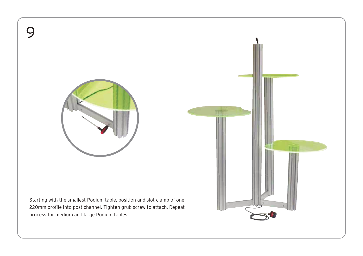

9

Starting with the smallest Podium table, position and slot clamp of one 220mm profile into post channel. Tighten grub screw to attach. Repeat process for medium and large Podium tables.

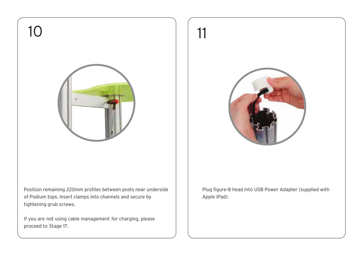

Position remaining 220mm profiles between posts near underside of Podium tops. Insert clamps into channels and secure by tightening grub screws.

If you are not using cable management for charging, please proceed to Stage 17.







11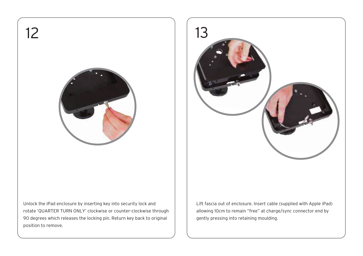



Lift fascia out of enclosure. Insert cable (supplied with Apple iPad) allowing 10cm to remain "free" at charge/sync connector end by gently pressing into retaining moulding.

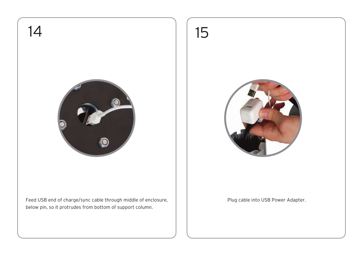

Feed USB end of charge/sync cable through middle of enclosure,  $\vert$  | Plug cable into USB Power Adapter. below pin, so it protrudes from bottom of support column.

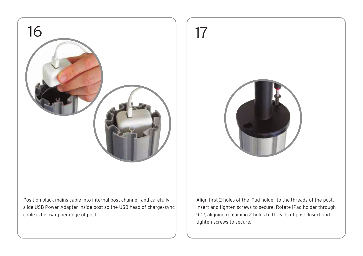



Position black mains cable into internal post channel, and carefully slide USB Power Adapter inside post so the USB head of charge/sync cable is below upper edge of post.

Align first 2 holes of the iPad holder to the threads of the post. Insert and tighten screws to secure. Rotate iPad holder through 90º, aligning remaining 2 holes to threads of post. Insert and tighten screws to secure.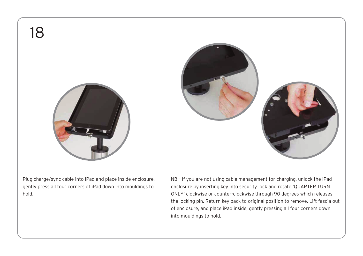18







Plug charge/sync cable into iPad and place inside enclosure, gently press all four corners of iPad down into mouldings to hold.

NB – If you are not using cable management for charging, unlock the iPad enclosure by inserting key into security lock and rotate 'QUARTER TURN ONLY' clockwise or counter-clockwise through 90 degrees which releases the locking pin. Return key back to original position to remove. Lift fascia out of enclosure, and place iPad inside, gently pressing all four corners down into mouldings to hold.